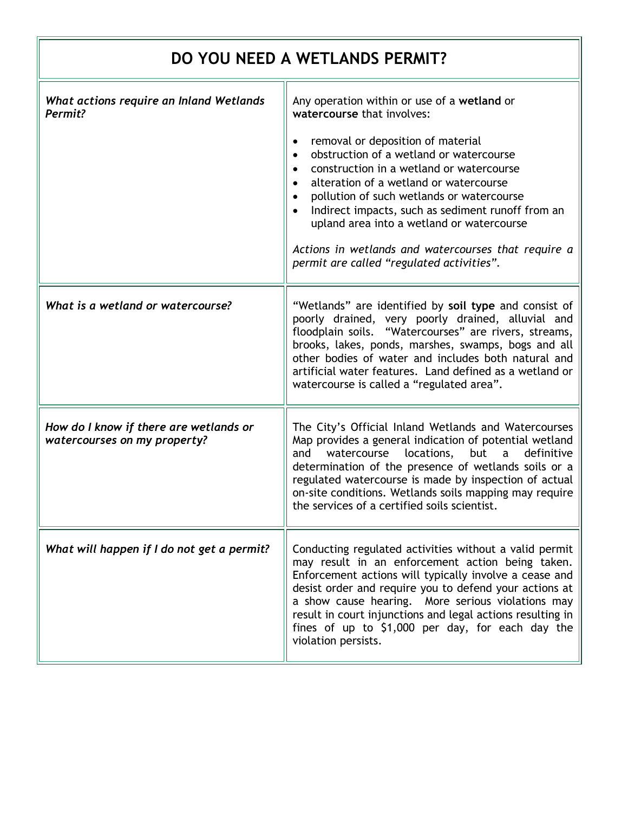| DO YOU NEED A WETLANDS PERMIT?                                         |                                                                                                                                                                                                                                                                                                                                                                                                                              |
|------------------------------------------------------------------------|------------------------------------------------------------------------------------------------------------------------------------------------------------------------------------------------------------------------------------------------------------------------------------------------------------------------------------------------------------------------------------------------------------------------------|
| What actions require an Inland Wetlands<br>Permit?                     | Any operation within or use of a wetland or<br>watercourse that involves:<br>removal or deposition of material<br>$\bullet$<br>obstruction of a wetland or watercourse<br>construction in a wetland or watercourse<br>alteration of a wetland or watercourse<br>pollution of such wetlands or watercourse<br>Indirect impacts, such as sediment runoff from an<br>upland area into a wetland or watercourse                  |
|                                                                        | Actions in wetlands and watercourses that require a<br>permit are called "regulated activities".                                                                                                                                                                                                                                                                                                                             |
| What is a wetland or watercourse?                                      | "Wetlands" are identified by soil type and consist of<br>poorly drained, very poorly drained, alluvial and<br>floodplain soils. "Watercourses" are rivers, streams,<br>brooks, lakes, ponds, marshes, swamps, bogs and all<br>other bodies of water and includes both natural and<br>artificial water features. Land defined as a wetland or<br>watercourse is called a "regulated area".                                    |
| How do I know if there are wetlands or<br>watercourses on my property? | The City's Official Inland Wetlands and Watercourses<br>Map provides a general indication of potential wetland<br>locations,<br>but<br>watercourse<br>definitive<br>and<br>a<br>determination of the presence of wetlands soils or a<br>regulated watercourse is made by inspection of actual<br>on-site conditions. Wetlands soils mapping may require<br>the services of a certified soils scientist.                      |
| What will happen if I do not get a permit?                             | Conducting regulated activities without a valid permit<br>may result in an enforcement action being taken.<br>Enforcement actions will typically involve a cease and<br>desist order and require you to defend your actions at<br>a show cause hearing. More serious violations may<br>result in court injunctions and legal actions resulting in<br>fines of up to \$1,000 per day, for each day the<br>violation persists. |